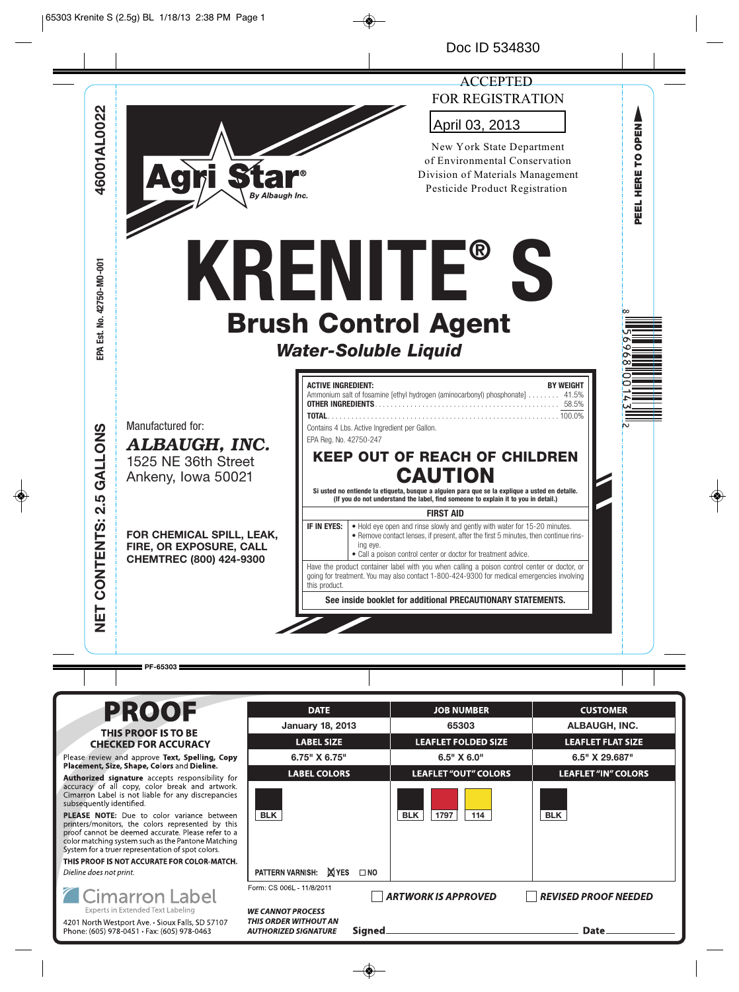Doc ID 534830



**THIS PROOF IS TO BE CHECKED FOR ACCURACY** 

Please review and approve Text, Spelling, Copy Placement, Size, Shape, Colors and Dieline.

**Authorized signature** accepts responsibility for<br>accuracy of all copy, color break and artwork.<br>Cimarron Label is not liable for any discrepancies subsequently identified.

PLEASE NOTE: Due to color variance between<br>printers/monitors, the colors represented by this principly intensive the colors represented by this<br>proof cannot be deemed accurate. Please refer to a<br>color matching system such as the Pantone Matching System for a truer representation of spot colors.

THIS PROOF IS NOT ACCURATE FOR COLOR-MATCH. Dieline does not print.



4201 North Westport Ave. • Sioux Falls, SD 57107 Phone: (605) 978-0451 • Fax: (605) 978-0463

| <b>DATE</b>                                                                            | <b>JOB NUMBER</b>           | <b>CUSTOMER</b>            |  |  |  |
|----------------------------------------------------------------------------------------|-----------------------------|----------------------------|--|--|--|
| <b>January 18, 2013</b>                                                                | 65303                       | <b>ALBAUGH, INC.</b>       |  |  |  |
| <b>LABEL SIZE</b>                                                                      | <b>LEAFLET FOLDED SIZE</b>  | <b>LEAFLET FLAT SIZE</b>   |  |  |  |
| 6.75" X 6.75"                                                                          | 6.5" X 6.0"                 | 6.5" X 29.687"             |  |  |  |
| <b>LABEL COLORS</b>                                                                    | <b>LEAFLET "OUT" COLORS</b> | <b>LEAFLET "IN" COLORS</b> |  |  |  |
| <b>BLK</b><br>PATTERN VARNISH: <b>X</b> IYES □ NO                                      | <b>BLK</b><br>1797<br>114   | <b>BLK</b>                 |  |  |  |
| Form: CS 006L - 11/8/2011<br><b>ARTWORK IS APPROVED</b><br><b>REVISED PROOF NEEDED</b> |                             |                            |  |  |  |
| <b>WE CANNOT PROCESS</b><br>THIS ORDER WITHOUT AN<br><b>AUTHORIZED SIGNATURE</b>       | Signed<br>Date              |                            |  |  |  |

 $\bigcirc$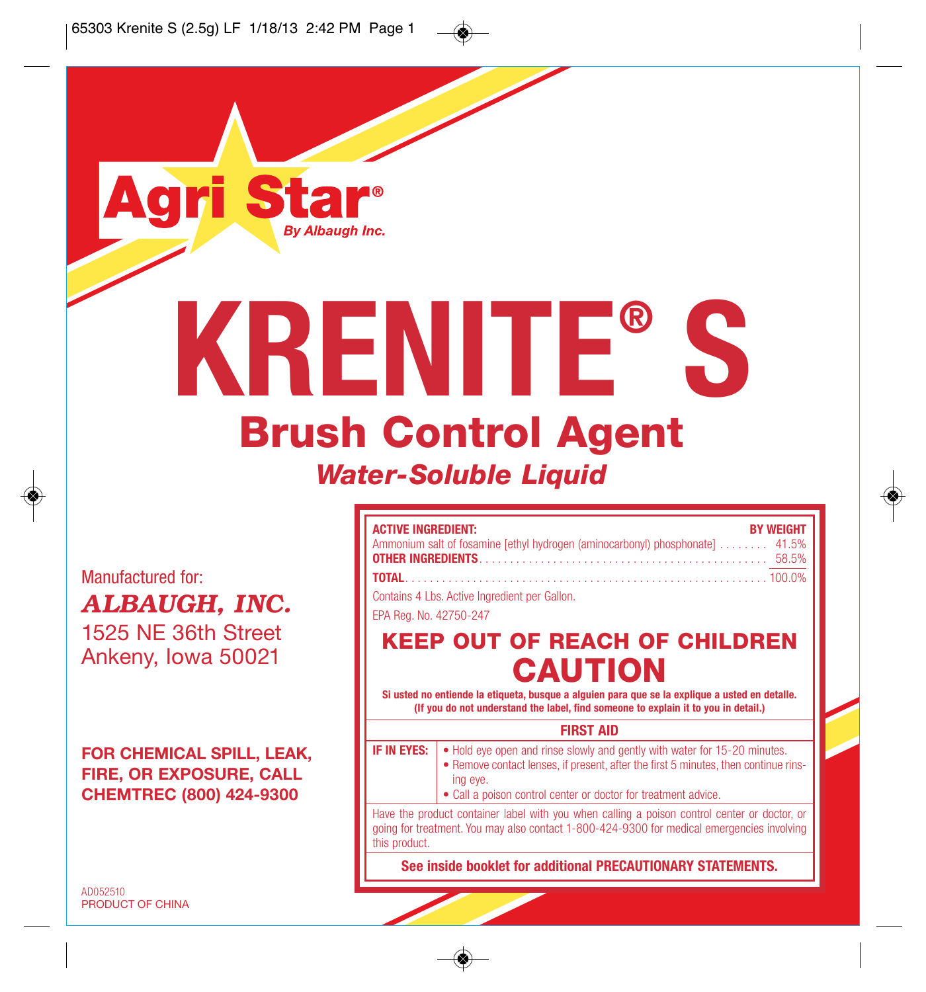**Agri Star®** 

**By Albaugh Inc.** 

**KRENITE® S Brush Control Agent**

# *Water-Soluble Liquid*

Manufactured for: *ALBAUGH, INC.*

1525 NE 36th Street Ankeny, Iowa 50021

**FOR CHEMICAL SPILL, LEAK, FIRE, OR EXPOSURE, CALL CHEMTREC (800) 424-9300**

AD052510 PRODUCT OF CHINA

| <b>BY WEIGHT</b> |
|------------------|
|                  |

|  | Y WEIGHT |
|--|----------|
|  |          |
|  |          |

| Ammonium salt of fosamine [ethyl hydrogen (aminocarbonyl) phosphonate] 41.5% |  |
|------------------------------------------------------------------------------|--|
|                                                                              |  |
|                                                                              |  |

Contains 4 Lbs. Active Ingredient per Gallon.

EPA Reg. No. 42750-247

# **KEEP OUT OF REACH OF CHILDREN CAUTION**

**Si usted no entiende la etiqueta, busque a alguien para que se la explique a usted en detalle. (If you do not understand the label, find someone to explain it to you in detail.)**

### **FIRST AID**

| <b>IF IN EYES:</b> $\blacktriangleright$ • Hold eye open and rinse slowly and gently with water for 15-20 minutes. |
|--------------------------------------------------------------------------------------------------------------------|
| <b>EXECUTE:</b> Remove contact lenses, if present, after the first 5 minutes, then continue rins-                  |
| ing eye.                                                                                                           |

• Call a poison control center or doctor for treatment advice.

Have the product container label with you when calling a poison control center or doctor, or going for treatment. You may also contact 1-800-424-9300 for medical emergencies involving this product.

**See inside booklet for additional PRECAUTIONARY STATEMENTS.**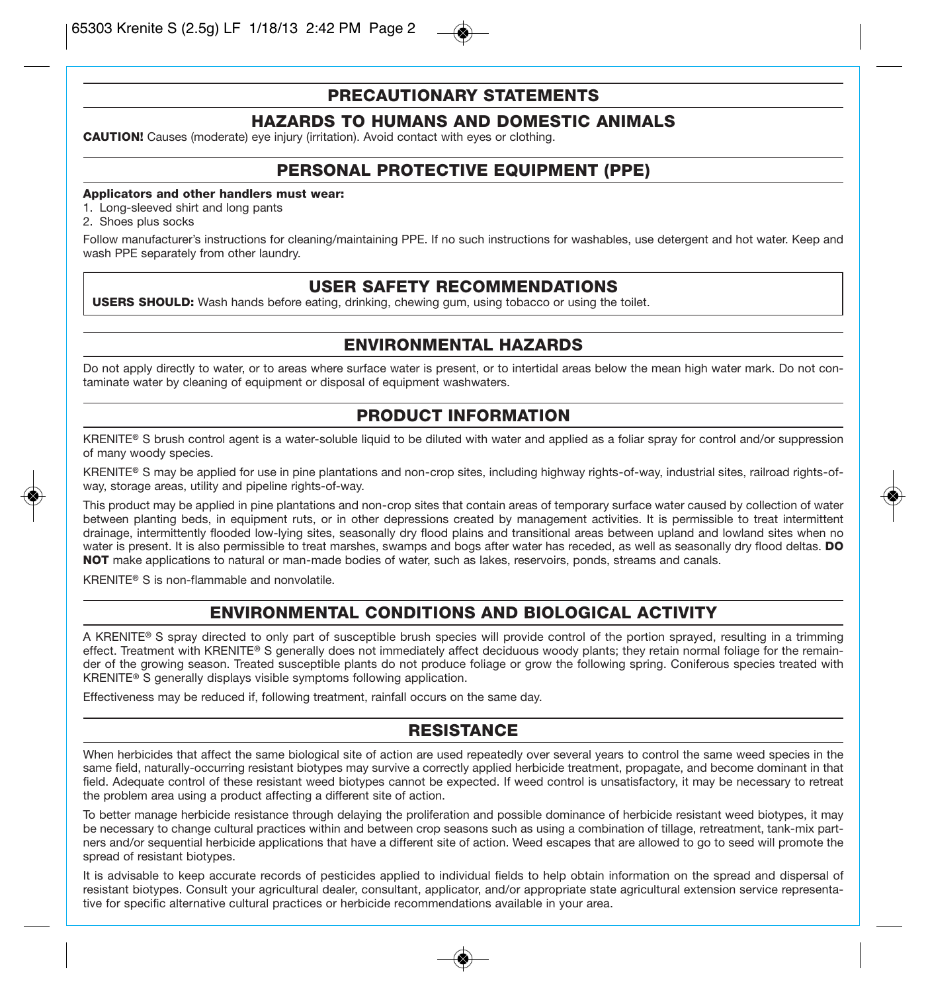# **PRECAUTIONARY STATEMENTS**

# **HAZARDS TO HUMANS AND DOMESTIC ANIMALS**

**CAUTION!** Causes (moderate) eye injury (irritation). Avoid contact with eyes or clothing.

# **PERSONAL PROTECTIVE EQUIPMENT (PPE)**

### **Applicators and other handlers must wear:**

1. Long-sleeved shirt and long pants

2. Shoes plus socks

Follow manufacturer's instructions for cleaning/maintaining PPE. If no such instructions for washables, use detergent and hot water. Keep and wash PPE separately from other laundry.

### **USER SAFETY RECOMMENDATIONS**

**USERS SHOULD:** Wash hands before eating, drinking, chewing gum, using tobacco or using the toilet.

# **ENVIRONMENTAL HAZARDS**

Do not apply directly to water, or to areas where surface water is present, or to intertidal areas below the mean high water mark. Do not contaminate water by cleaning of equipment or disposal of equipment washwaters.

# **PRODUCT INFORMATION**

KRENITE**®** S brush control agent is a water-soluble liquid to be diluted with water and applied as a foliar spray for control and/or suppression of many woody species.

KRENITE**®** S may be applied for use in pine plantations and non-crop sites, including highway rights-of-way, industrial sites, railroad rights-ofway, storage areas, utility and pipeline rights-of-way.

This product may be applied in pine plantations and non-crop sites that contain areas of temporary surface water caused by collection of water between planting beds, in equipment ruts, or in other depressions created by management activities. It is permissible to treat intermittent drainage, intermittently flooded low-lying sites, seasonally dry flood plains and transitional areas between upland and lowland sites when no water is present. It is also permissible to treat marshes, swamps and bogs after water has receded, as well as seasonally dry flood deltas. **DO NOT** make applications to natural or man-made bodies of water, such as lakes, reservoirs, ponds, streams and canals.

KRENITE**®** S is non-flammable and nonvolatile.

# **ENVIRONMENTAL CONDITIONS AND BIOLOGICAL ACTIVITY**

A KRENITE**®** S spray directed to only part of susceptible brush species will provide control of the portion sprayed, resulting in a trimming effect. Treatment with KRENITE**®** S generally does not immediately affect deciduous woody plants; they retain normal foliage for the remainder of the growing season. Treated susceptible plants do not produce foliage or grow the following spring. Coniferous species treated with KRENITE**®** S generally displays visible symptoms following application.

Effectiveness may be reduced if, following treatment, rainfall occurs on the same day.

# **RESISTANCE**

When herbicides that affect the same biological site of action are used repeatedly over several years to control the same weed species in the same field, naturally-occurring resistant biotypes may survive a correctly applied herbicide treatment, propagate, and become dominant in that field. Adequate control of these resistant weed biotypes cannot be expected. If weed control is unsatisfactory, it may be necessary to retreat the problem area using a product affecting a different site of action.

To better manage herbicide resistance through delaying the proliferation and possible dominance of herbicide resistant weed biotypes, it may be necessary to change cultural practices within and between crop seasons such as using a combination of tillage, retreatment, tank-mix partners and/or sequential herbicide applications that have a different site of action. Weed escapes that are allowed to go to seed will promote the spread of resistant biotypes.

It is advisable to keep accurate records of pesticides applied to individual fields to help obtain information on the spread and dispersal of resistant biotypes. Consult your agricultural dealer, consultant, applicator, and/or appropriate state agricultural extension service representative for specific alternative cultural practices or herbicide recommendations available in your area.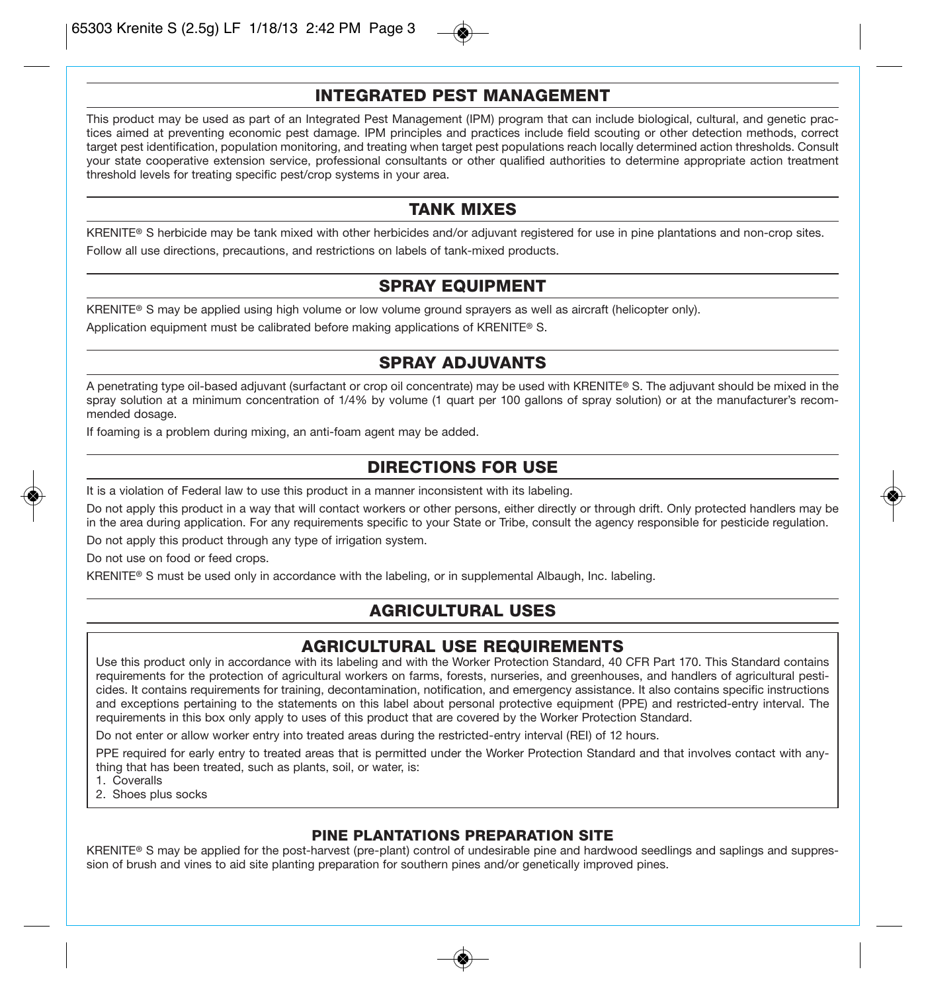

This product may be used as part of an Integrated Pest Management (IPM) program that can include biological, cultural, and genetic practices aimed at preventing economic pest damage. IPM principles and practices include field scouting or other detection methods, correct target pest identification, population monitoring, and treating when target pest populations reach locally determined action thresholds. Consult your state cooperative extension service, professional consultants or other qualified authorities to determine appropriate action treatment threshold levels for treating specific pest/crop systems in your area.

## **TANK MIXES**

KRENITE**®** S herbicide may be tank mixed with other herbicides and/or adjuvant registered for use in pine plantations and non-crop sites. Follow all use directions, precautions, and restrictions on labels of tank-mixed products.

# **SPRAY EQUIPMENT**

KRENITE**®** S may be applied using high volume or low volume ground sprayers as well as aircraft (helicopter only).

Application equipment must be calibrated before making applications of KRENITE**®** S.

# **SPRAY ADJUVANTS**

A penetrating type oil-based adjuvant (surfactant or crop oil concentrate) may be used with KRENITE**®** S. The adjuvant should be mixed in the spray solution at a minimum concentration of 1/4% by volume (1 quart per 100 gallons of spray solution) or at the manufacturer's recommended dosage.

If foaming is a problem during mixing, an anti-foam agent may be added.

# **DIRECTIONS FOR USE**

It is a violation of Federal law to use this product in a manner inconsistent with its labeling.

Do not apply this product in a way that will contact workers or other persons, either directly or through drift. Only protected handlers may be in the area during application. For any requirements specific to your State or Tribe, consult the agency responsible for pesticide regulation.

Do not apply this product through any type of irrigation system.

Do not use on food or feed crops.

KRENITE**®** S must be used only in accordance with the labeling, or in supplemental Albaugh, Inc. labeling.

# **AGRICULTURAL USES**

### **AGRICULTURAL USE REQUIREMENTS**

Use this product only in accordance with its labeling and with the Worker Protection Standard, 40 CFR Part 170. This Standard contains requirements for the protection of agricultural workers on farms, forests, nurseries, and greenhouses, and handlers of agricultural pesticides. It contains requirements for training, decontamination, notification, and emergency assistance. It also contains specific instructions and exceptions pertaining to the statements on this label about personal protective equipment (PPE) and restricted-entry interval. The requirements in this box only apply to uses of this product that are covered by the Worker Protection Standard.

Do not enter or allow worker entry into treated areas during the restricted-entry interval (REI) of 12 hours.

PPE required for early entry to treated areas that is permitted under the Worker Protection Standard and that involves contact with anything that has been treated, such as plants, soil, or water, is:

1. Coveralls

2. Shoes plus socks

### **PINE PLANTATIONS PREPARATION SITE**

KRENITE**®** S may be applied for the post-harvest (pre-plant) control of undesirable pine and hardwood seedlings and saplings and suppression of brush and vines to aid site planting preparation for southern pines and/or genetically improved pines.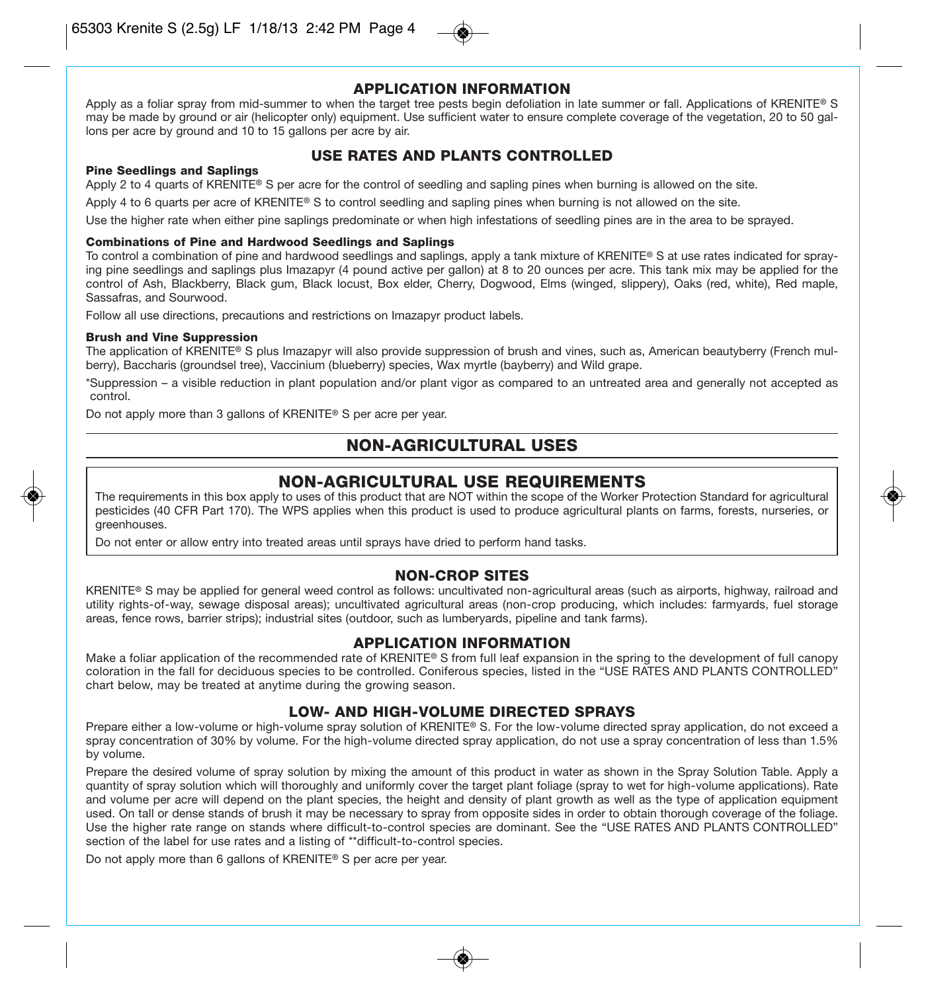### **APPLICATION INFORMATION**

Apply as a foliar spray from mid-summer to when the target tree pests begin defoliation in late summer or fall. Applications of KRENITE**®** S may be made by ground or air (helicopter only) equipment. Use sufficient water to ensure complete coverage of the vegetation, 20 to 50 gallons per acre by ground and 10 to 15 gallons per acre by air.

### **USE RATES AND PLANTS CONTROLLED**

#### **Pine Seedlings and Saplings**

Apply 2 to 4 quarts of KRENITE**®** S per acre for the control of seedling and sapling pines when burning is allowed on the site.

Apply 4 to 6 quarts per acre of KRENITE**®** S to control seedling and sapling pines when burning is not allowed on the site.

Use the higher rate when either pine saplings predominate or when high infestations of seedling pines are in the area to be sprayed.

### **Combinations of Pine and Hardwood Seedlings and Saplings**

To control a combination of pine and hardwood seedlings and saplings, apply a tank mixture of KRENITE**®** S at use rates indicated for spraying pine seedlings and saplings plus Imazapyr (4 pound active per gallon) at 8 to 20 ounces per acre. This tank mix may be applied for the control of Ash, Blackberry, Black gum, Black locust, Box elder, Cherry, Dogwood, Elms (winged, slippery), Oaks (red, white), Red maple, Sassafras, and Sourwood.

Follow all use directions, precautions and restrictions on Imazapyr product labels.

### **Brush and Vine Suppression**

The application of KRENITE**®** S plus Imazapyr will also provide suppression of brush and vines, such as, American beautyberry (French mulberry), Baccharis (groundsel tree), Vaccinium (blueberry) species, Wax myrtle (bayberry) and Wild grape.

\*Suppression – a visible reduction in plant population and/or plant vigor as compared to an untreated area and generally not accepted as control.

Do not apply more than 3 gallons of KRENITE**®** S per acre per year.

## **NON-AGRICULTURAL USES**

# **NON-AGRICULTURAL USE REQUIREMENTS**

The requirements in this box apply to uses of this product that are NOT within the scope of the Worker Protection Standard for agricultural pesticides (40 CFR Part 170). The WPS applies when this product is used to produce agricultural plants on farms, forests, nurseries, or greenhouses.

Do not enter or allow entry into treated areas until sprays have dried to perform hand tasks.

### **NON-CROP SITES**

KRENITE**®** S may be applied for general weed control as follows: uncultivated non-agricultural areas (such as airports, highway, railroad and utility rights-of-way, sewage disposal areas); uncultivated agricultural areas (non-crop producing, which includes: farmyards, fuel storage areas, fence rows, barrier strips); industrial sites (outdoor, such as lumberyards, pipeline and tank farms).

### **APPLICATION INFORMATION**

Make a foliar application of the recommended rate of KRENITE**®** S from full leaf expansion in the spring to the development of full canopy coloration in the fall for deciduous species to be controlled. Coniferous species, listed in the "USE RATES AND PLANTS CONTROLLED" chart below, may be treated at anytime during the growing season.

### **LOW- AND HIGH-VOLUME DIRECTED SPRAYS**

Prepare either a low-volume or high-volume spray solution of KRENITE**®** S. For the low-volume directed spray application, do not exceed a spray concentration of 30% by volume. For the high-volume directed spray application, do not use a spray concentration of less than 1.5% by volume.

Prepare the desired volume of spray solution by mixing the amount of this product in water as shown in the Spray Solution Table. Apply a quantity of spray solution which will thoroughly and uniformly cover the target plant foliage (spray to wet for high-volume applications). Rate and volume per acre will depend on the plant species, the height and density of plant growth as well as the type of application equipment used. On tall or dense stands of brush it may be necessary to spray from opposite sides in order to obtain thorough coverage of the foliage. Use the higher rate range on stands where difficult-to-control species are dominant. See the "USE RATES AND PLANTS CONTROLLED" section of the label for use rates and a listing of \*\*difficult-to-control species.

Do not apply more than 6 gallons of KRENITE**®** S per acre per year.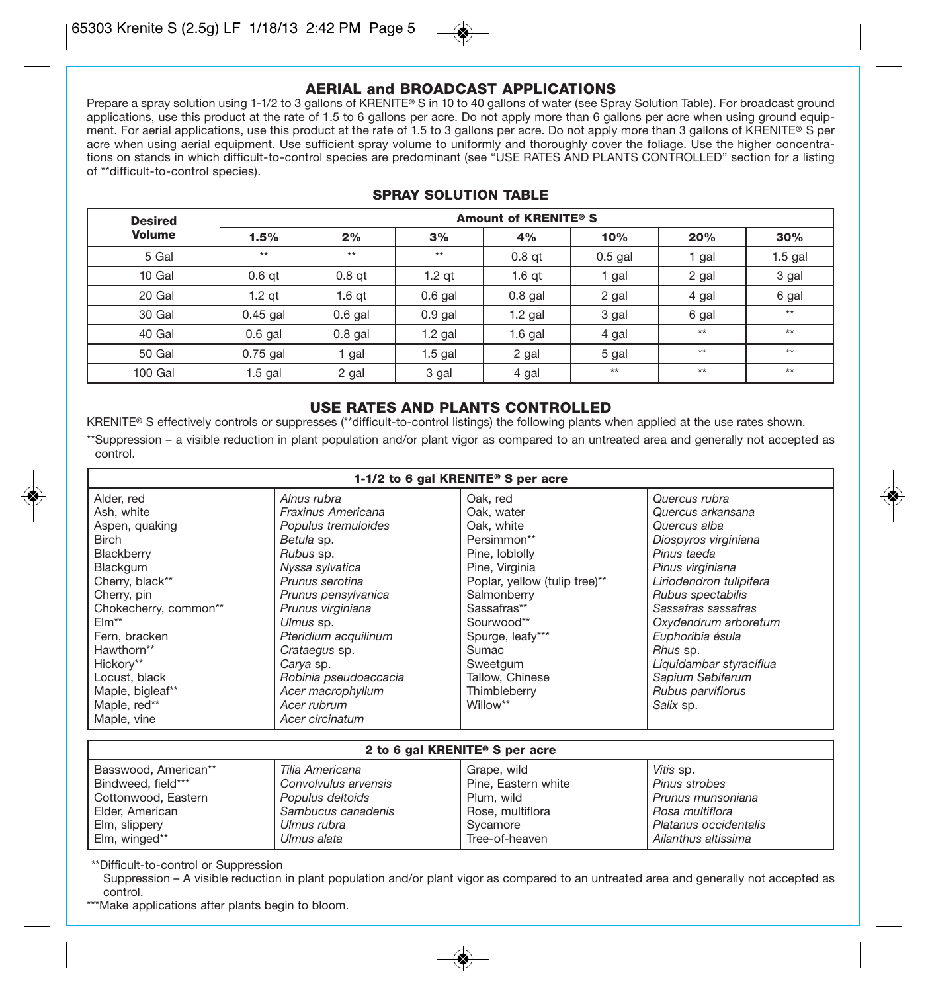

Prepare a spray solution using 1-1/2 to 3 gallons of KRENITE**®** S in 10 to 40 gallons of water (see Spray Solution Table). For broadcast ground applications, use this product at the rate of 1.5 to 6 gallons per acre. Do not apply more than 6 gallons per acre when using ground equipment. For aerial applications, use this product at the rate of 1.5 to 3 gallons per acre. Do not apply more than 3 gallons of KRENITE**®** S per acre when using aerial equipment. Use sufficient spray volume to uniformly and thoroughly cover the foliage. Use the higher concentrations on stands in which difficult-to-control species are predominant (see "USE RATES AND PLANTS CONTROLLED" section for a listing of \*\*difficult-to-control species).

| <b>Desired</b> | Amount of KRENITE <sup>®</sup> S |           |           |           |           |       |           |
|----------------|----------------------------------|-----------|-----------|-----------|-----------|-------|-----------|
| <b>Volume</b>  | 1.5%                             | 2%        | 3%        | 4%        | 10%       | 20%   | 30%       |
| 5 Gal          | $***$                            | $***$     | $***$     | $0.8$ at  | $0.5$ gal | gal   | $1.5$ gal |
| 10 Gal         | $0.6$ at                         | $0.8$ gt  | $1.2$ at  | $1.6$ at  | gal       | 2 gal | 3 gal     |
| 20 Gal         | 1.2 at                           | $1.6$ at  | $0.6$ gal | $0.8$ gal | 2 gal     | 4 gal | 6 gal     |
| 30 Gal         | $0.45$ gal                       | $0.6$ gal | $0.9$ gal | $1.2$ gal | 3 gal     | 6 gal | $**$      |
| 40 Gal         | $0.6$ gal                        | $0.8$ gal | $1.2$ gal | $1.6$ gal | 4 gal     | $**$  | $**$      |
| 50 Gal         | $0.75$ gal                       | gal       | $1.5$ gal | 2 gal     | 5 gal     | $**$  | $**$      |
| 100 Gal        | $1.5$ gal                        | 2 gal     | 3 gal     | 4 gal     | $***$     | $**$  | $**$      |

### **SPRAY SOLUTION TABLE**

### **USE RATES AND PLANTS CONTROLLED**

KRENITE**®** S effectively controls or suppresses (\*\*difficult-to-control listings) the following plants when applied at the use rates shown. \*\*Suppression – a visible reduction in plant population and/or plant vigor as compared to an untreated area and generally not accepted as control.

| 1-1/2 to 6 gal KRENITE <sup>®</sup> S per acre |                       |                               |                         |  |  |
|------------------------------------------------|-----------------------|-------------------------------|-------------------------|--|--|
| Alder, red                                     | Alnus rubra           | Oak, red                      | Quercus rubra           |  |  |
| Ash. white                                     | Fraxinus Americana    | Oak. water                    | Quercus arkansana       |  |  |
| Aspen, quaking                                 | Populus tremuloides   | Oak, white                    | Quercus alba            |  |  |
| <b>Birch</b>                                   | Betula sp.            | Persimmon**                   | Diospyros virginiana    |  |  |
| Blackberry                                     | Rubus sp.             | Pine, loblolly                | Pinus taeda             |  |  |
| Blackgum                                       | Nyssa sylvatica       | Pine, Virginia                | Pinus virginiana        |  |  |
| Cherry, black**                                | Prunus serotina       | Poplar, yellow (tulip tree)** | Liriodendron tulipifera |  |  |
| Cherry, pin                                    | Prunus pensylvanica   | Salmonberry                   | Rubus spectabilis       |  |  |
| Chokecherry, common**                          | Prunus virginiana     | Sassafras**                   | Sassafras sassafras     |  |  |
| $EIm**$                                        | Ulmus sp.             | Sourwood**                    | Oxydendrum arboretum    |  |  |
| Fern, bracken                                  | Pteridium acquilinum  | Spurge, leafy***              | Euphoribia ésula        |  |  |
| Hawthorn**                                     | Crataegus sp.         | Sumac                         | Rhus sp.                |  |  |
| Hickory**                                      | Carya sp.             | Sweetgum                      | Liquidambar styraciflua |  |  |
| Locust, black                                  | Robinia pseudoaccacia | Tallow, Chinese               | Sapium Sebiferum        |  |  |
| Maple, bigleaf**                               | Acer macrophyllum     | Thimbleberry                  | Rubus parviflorus       |  |  |
| Maple, red**                                   | Acer rubrum           | Willow**                      | Salix sp.               |  |  |
| Maple, vine                                    | Acer circinatum       |                               |                         |  |  |
| 2 to 6 gal KRENITE® S per acre                 |                       |                               |                         |  |  |
| Basswood, American**                           | Tilia Americana       | Grape, wild                   | Vitis sp.               |  |  |
| Bindweed, field***                             | Convolvulus arvensis  | Pine, Eastern white           | Pinus strobes           |  |  |
| Cottonwood, Eastern                            | Populus deltoids      | Plum, wild                    | Prunus munsoniana       |  |  |
| Elder, American                                | Sambucus canadenis    | Rose, multiflora              | Rosa multiflora         |  |  |
| Elm, slippery                                  | Ulmus rubra           | Sycamore                      | Platanus occidentalis   |  |  |
| Elm, winged**                                  | Ulmus alata           | Tree-of-heaven                | Ailanthus altissima     |  |  |

\*\*Difficult-to-control or Suppression

Suppression – A visible reduction in plant population and/or plant vigor as compared to an untreated area and generally not accepted as control.

\*\*\*Make applications after plants begin to bloom.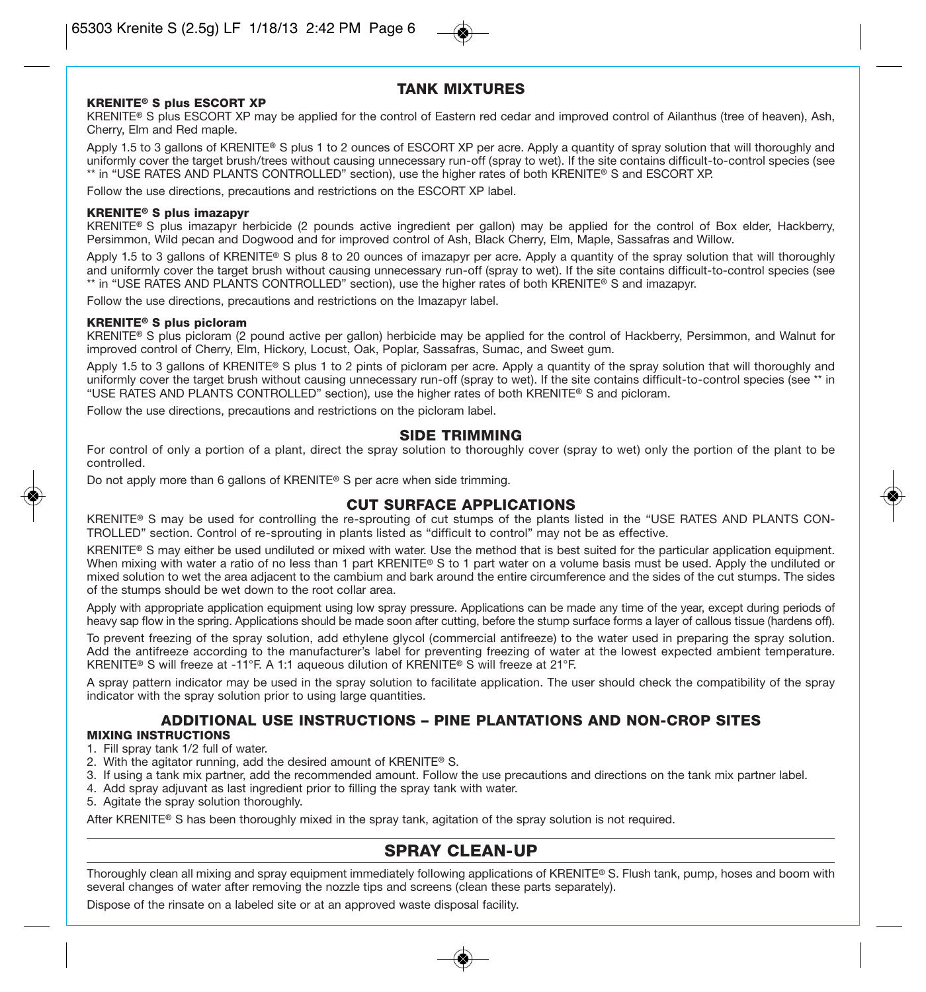### **TANK MIXTURES**

### **KRENITE® S plus ESCORT XP**

KRENITE**®** S plus ESCORT XP may be applied for the control of Eastern red cedar and improved control of Ailanthus (tree of heaven), Ash, Cherry, Elm and Red maple.

Apply 1.5 to 3 gallons of KRENITE**®** S plus 1 to 2 ounces of ESCORT XP per acre. Apply a quantity of spray solution that will thoroughly and uniformly cover the target brush/trees without causing unnecessary run-off (spray to wet). If the site contains difficult-to-control species (see \*\* in "USE RATES AND PLANTS CONTROLLED" section), use the higher rates of both KRENITE**®** S and ESCORT XP.

Follow the use directions, precautions and restrictions on the ESCORT XP label.

#### **KRENITE® S plus imazapyr**

KRENITE**®** S plus imazapyr herbicide (2 pounds active ingredient per gallon) may be applied for the control of Box elder, Hackberry, Persimmon, Wild pecan and Dogwood and for improved control of Ash, Black Cherry, Elm, Maple, Sassafras and Willow.

Apply 1.5 to 3 gallons of KRENITE**®** S plus 8 to 20 ounces of imazapyr per acre. Apply a quantity of the spray solution that will thoroughly and uniformly cover the target brush without causing unnecessary run-off (spray to wet). If the site contains difficult-to-control species (see \*\* in "USE RATES AND PLANTS CONTROLLED" section), use the higher rates of both KRENITE**®** S and imazapyr.

Follow the use directions, precautions and restrictions on the Imazapyr label.

#### **KRENITE® S plus picloram**

KRENITE**®** S plus picloram (2 pound active per gallon) herbicide may be applied for the control of Hackberry, Persimmon, and Walnut for improved control of Cherry, Elm, Hickory, Locust, Oak, Poplar, Sassafras, Sumac, and Sweet gum.

Apply 1.5 to 3 gallons of KRENITE**®** S plus 1 to 2 pints of picloram per acre. Apply a quantity of the spray solution that will thoroughly and uniformly cover the target brush without causing unnecessary run-off (spray to wet). If the site contains difficult-to-control species (see \*\* in "USE RATES AND PLANTS CONTROLLED" section), use the higher rates of both KRENITE**®** S and picloram.

Follow the use directions, precautions and restrictions on the picloram label.

### **SIDE TRIMMING**

For control of only a portion of a plant, direct the spray solution to thoroughly cover (spray to wet) only the portion of the plant to be controlled.

Do not apply more than 6 gallons of KRENITE**®** S per acre when side trimming.

### **CUT SURFACE APPLICATIONS**

KRENITE**®** S may be used for controlling the re-sprouting of cut stumps of the plants listed in the "USE RATES AND PLANTS CON-TROLLED" section. Control of re-sprouting in plants listed as "difficult to control" may not be as effective.

KRENITE**®** S may either be used undiluted or mixed with water. Use the method that is best suited for the particular application equipment. When mixing with water a ratio of no less than 1 part KRENITE**®** S to 1 part water on a volume basis must be used. Apply the undiluted or mixed solution to wet the area adjacent to the cambium and bark around the entire circum ference and the sides of the cut stumps. The sides of the stumps should be wet down to the root collar area.

Apply with appropriate application equipment using low spray pressure. Applications can be made any time of the year, except during periods of heavy sap flow in the spring. Applications should be made soon after cutting, before the stump surface forms a layer of callous tissue (hardens off).

To prevent freezing of the spray solution, add ethylene glycol (commercial antifreeze) to the water used in preparing the spray solution. Add the antifreeze according to the manufacturer's label for preventing freezing of water at the lowest expected ambient temperature. KRENITE**®** S will freeze at -11°F. A 1:1 aqueous dilution of KRENITE**®** S will freeze at 21°F.

A spray pattern indicator may be used in the spray solution to facilitate application. The user should check the compatibility of the spray indicator with the spray solution prior to using large quantities.

### **ADDITIONAL USE INSTRUCTIONS – PINE PLANTATIONS AND NON-CROP SITES MIXING INSTRUCTIONS**

- 1. Fill spray tank 1/2 full of water.
- 2. With the agitator running, add the desired amount of KRENITE**®** S.
- 3. If using a tank mix partner, add the recommended amount. Follow the use precautions and directions on the tank mix partner label.
- 4. Add spray adjuvant as last ingredient prior to filling the spray tank with water.
- 5. Agitate the spray solution thoroughly.

After KRENITE**®** S has been thoroughly mixed in the spray tank, agitation of the spray solution is not required.

# **SPRAY CLEAN-UP**

Thoroughly clean all mixing and spray equipment immediately following applications of KRENITE**®** S. Flush tank, pump, hoses and boom with several changes of water after removing the nozzle tips and screens (clean these parts separately).

Dispose of the rinsate on a labeled site or at an approved waste disposal facility.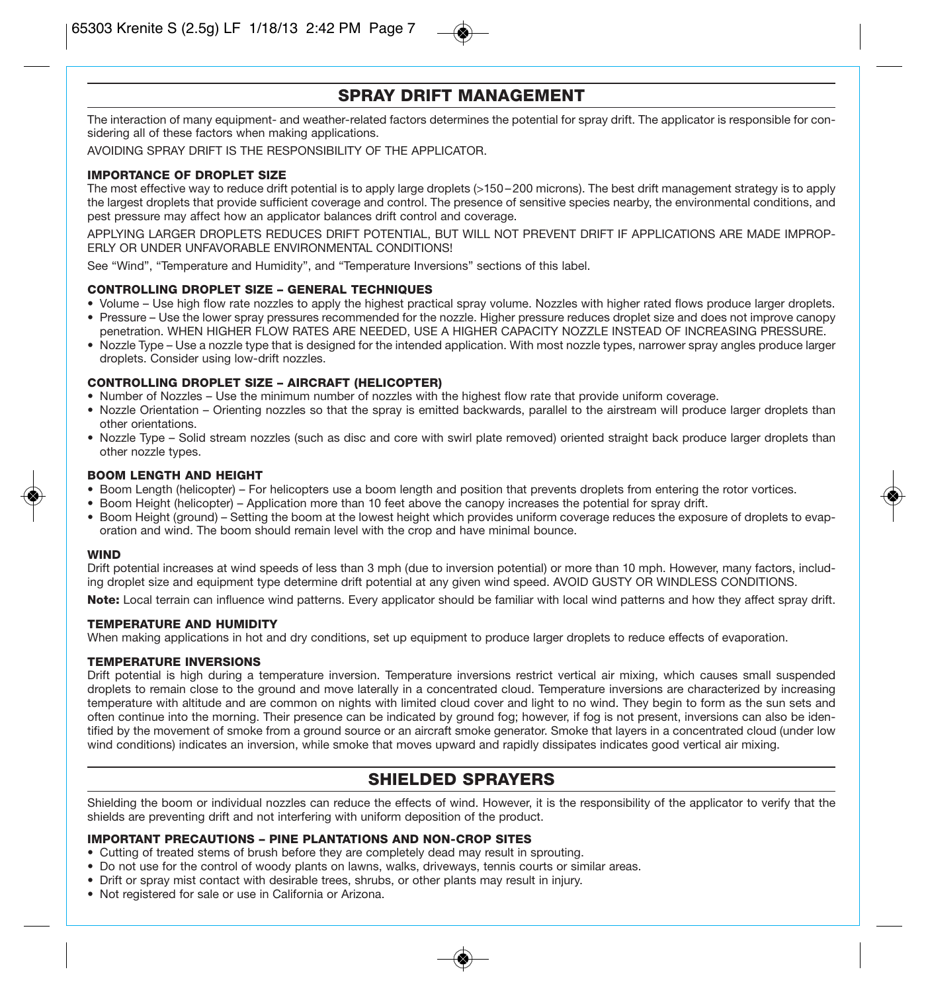# **SPRAY DRIFT MANAGEMENT**

The interaction of many equipment- and weather-related factors determines the potential for spray drift. The applicator is responsible for considering all of these factors when making applications.

AVOIDING SPRAY DRIFT IS THE RESPONSIBILITY OF THE APPLICATOR.

### **IMPORTANCE OF DROPLET SIZE**

The most effective way to reduce drift potential is to apply large droplets (>150 – 200 microns). The best drift management strategy is to apply the largest droplets that provide sufficient coverage and control. The presence of sensitive species nearby, the environmental conditions, and pest pressure may affect how an applicator balances drift control and coverage.

APPLYING LARGER DROPLETS REDUCES DRIFT POTENTIAL, BUT WILL NOT PREVENT DRIFT IF APPLICATIONS ARE MADE IMPROP-ERLY OR UNDER UNFAVORABLE ENVIRONMENTAL CONDITIONS!

See "Wind", "Temperature and Humidity", and "Temperature Inversions" sections of this label.

### **CONTROLLING DROPLET SIZE – GENERAL TECHNIQUES**

- Volume Use high flow rate nozzles to apply the highest practical spray volume. Nozzles with higher rated flows produce larger droplets. • Pressure – Use the lower spray pressures recommended for the nozzle. Higher pressure reduces droplet size and does not improve canopy
- penetration. WHEN HIGHER FLOW RATES ARE NEEDED, USE A HIGHER CAPACITY NOZZLE INSTEAD OF INCREASING PRESSURE.
- Nozzle Type Use a nozzle type that is designed for the intended application. With most nozzle types, narrower spray angles produce larger droplets. Consider using low-drift nozzles.

### **CONTROLLING DROPLET SIZE – AIRCRAFT (HELICOPTER)**

- Number of Nozzles Use the minimum number of nozzles with the highest flow rate that provide uniform coverage.
- Nozzle Orientation Orienting nozzles so that the spray is emitted backwards, parallel to the airstream will produce larger droplets than other orientations.
- Nozzle Type Solid stream nozzles (such as disc and core with swirl plate removed) oriented straight back produce larger droplets than other nozzle types.

#### **BOOM LENGTH AND HEIGHT**

- Boom Length (helicopter) For helicopters use a boom length and position that prevents droplets from entering the rotor vortices.
- Boom Height (helicopter) Application more than 10 feet above the canopy increases the potential for spray drift.
- Boom Height (ground) Setting the boom at the lowest height which provides uniform coverage reduces the exposure of droplets to evaporation and wind. The boom should remain level with the crop and have minimal bounce.

#### **WIND**

Drift potential increases at wind speeds of less than 3 mph (due to inversion potential) or more than 10 mph. However, many factors, including droplet size and equipment type determine drift potential at any given wind speed. AVOID GUSTY OR WINDLESS CONDITIONS.

**Note:** Local terrain can influence wind patterns. Every applicator should be familiar with local wind patterns and how they affect spray drift.

### **TEMPERATURE AND HUMIDITY**

When making applications in hot and dry conditions, set up equipment to produce larger droplets to reduce effects of evaporation.

#### **TEMPERATURE INVERSIONS**

Drift potential is high during a temperature inversion. Temperature inversions restrict vertical air mixing, which causes small suspended droplets to remain close to the ground and move laterally in a concentrated cloud. Temperature inversions are characterized by increasing temperature with altitude and are common on nights with limited cloud cover and light to no wind. They begin to form as the sun sets and often continue into the morning. Their presence can be indicated by ground fog; however, if fog is not present, inversions can also be identified by the movement of smoke from a ground source or an aircraft smoke generator. Smoke that layers in a concentrated cloud (under low wind conditions) indicates an inversion, while smoke that moves upward and rapidly dissipates indicates good vertical air mixing.

# **SHIELDED SPRAYERS**

Shielding the boom or individual nozzles can reduce the effects of wind. However, it is the responsibility of the applicator to verify that the shields are preventing drift and not interfering with uniform deposition of the product.

### **IMPORTANT PRECAUTIONS – PINE PLANTATIONS AND NON-CROP SITES**

- Cutting of treated stems of brush before they are completely dead may result in sprouting.
- Do not use for the control of woody plants on lawns, walks, driveways, tennis courts or similar areas.
- Drift or spray mist contact with desirable trees, shrubs, or other plants may result in injury.
- Not registered for sale or use in California or Arizona.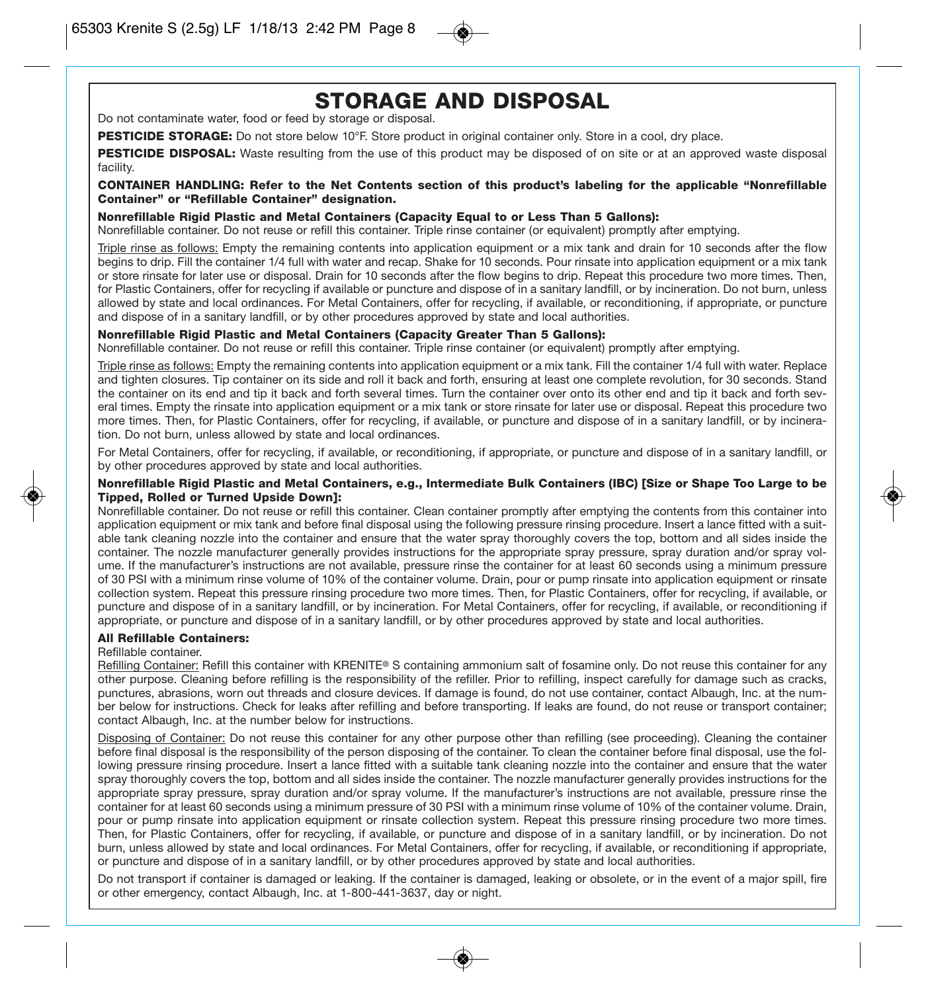# **STORAGE AND DISPOSAL**

Do not contaminate water, food or feed by storage or disposal.

**PESTICIDE STORAGE:** Do not store below 10°F. Store product in original container only. Store in a cool, dry place.

PESTICIDE DISPOSAL: Waste resulting from the use of this product may be disposed of on site or at an approved waste disposal facility.

**CONTAINER HANDLING: Refer to the Net Contents section of this product's labeling for the applicable "Nonrefillable Container" or "Refillable Container" designation.**

#### **Nonrefillable Rigid Plastic and Metal Containers (Capacity Equal to or Less Than 5 Gallons):**

Nonrefillable container. Do not reuse or refill this container. Triple rinse container (or equivalent) promptly after emptying.

Triple rinse as follows: Empty the remaining contents into application equipment or a mix tank and drain for 10 seconds after the flow begins to drip. Fill the container 1/4 full with water and recap. Shake for 10 seconds. Pour rinsate into application equipment or a mix tank or store rinsate for later use or disposal. Drain for 10 seconds after the flow begins to drip. Repeat this procedure two more times. Then, for Plastic Containers, offer for recycling if available or puncture and dispose of in a sanitary landfill, or by incineration. Do not burn, unless allowed by state and local ordinances. For Metal Containers, offer for recycling, if available, or reconditioning, if appropriate, or puncture and dispose of in a sanitary landfill, or by other procedures approved by state and local authorities.

### **Nonrefillable Rigid Plastic and Metal Containers (Capacity Greater Than 5 Gallons):**

Nonrefillable container. Do not reuse or refill this container. Triple rinse container (or equivalent) promptly after emptying.

Triple rinse as follows: Empty the remaining contents into application equipment or a mix tank. Fill the container 1/4 full with water. Replace and tighten closures. Tip container on its side and roll it back and forth, ensuring at least one complete revolution, for 30 seconds. Stand the container on its end and tip it back and forth several times. Turn the container over onto its other end and tip it back and forth several times. Empty the rinsate into application equipment or a mix tank or store rinsate for later use or disposal. Repeat this procedure two more times. Then, for Plastic Containers, offer for recycling, if available, or puncture and dispose of in a sanitary landfill, or by incineration. Do not burn, unless allowed by state and local ordinances.

For Metal Containers, offer for recycling, if available, or reconditioning, if appropriate, or puncture and dispose of in a sanitary landfill, or by other procedures approved by state and local authorities.

### **Nonrefillable Rigid Plastic and Metal Containers, e.g., Intermediate Bulk Containers (IBC) [Size or Shape Too Large to be Tipped, Rolled or Turned Upside Down]:**

Nonrefillable container. Do not reuse or refill this container. Clean container promptly after emptying the contents from this container into application equipment or mix tank and before final disposal using the following pressure rinsing procedure. Insert a lance fitted with a suitable tank cleaning nozzle into the container and ensure that the water spray thoroughly covers the top, bottom and all sides inside the container. The nozzle manufacturer generally provides instructions for the appropriate spray pressure, spray duration and/or spray volume. If the manufacturer's instructions are not available, pressure rinse the container for at least 60 seconds using a minimum pressure of 30 PSI with a minimum rinse volume of 10% of the container volume. Drain, pour or pump rinsate into application equipment or rinsate collection system. Repeat this pressure rinsing procedure two more times. Then, for Plastic Containers, offer for recycling, if available, or puncture and dispose of in a sanitary landfill, or by incineration. For Metal Containers, offer for recycling, if available, or reconditioning if appropriate, or puncture and dispose of in a sanitary landfill, or by other procedures approved by state and local authorities.

#### **All Refillable Containers:**

### Refillable container.

Refilling Container: Refill this container with KRENITE**®** S containing ammonium salt of fosamine only. Do not reuse this container for any other purpose. Cleaning before refilling is the responsibility of the refiller. Prior to refilling, inspect carefully for damage such as cracks, punctures, abrasions, worn out threads and closure devices. If damage is found, do not use container, contact Albaugh, Inc. at the number below for instructions. Check for leaks after refilling and before transporting. If leaks are found, do not reuse or transport container; contact Albaugh, Inc. at the number below for instructions.

Disposing of Container: Do not reuse this container for any other purpose other than refilling (see proceeding). Cleaning the container before final disposal is the responsibility of the person disposing of the container. To clean the container before final disposal, use the following pressure rinsing procedure. Insert a lance fitted with a suitable tank cleaning nozzle into the container and ensure that the water spray thoroughly covers the top, bottom and all sides inside the container. The nozzle manufacturer generally provides instructions for the appropriate spray pressure, spray duration and/or spray volume. If the manufacturer's instructions are not available, pressure rinse the container for at least 60 seconds using a minimum pressure of 30 PSI with a minimum rinse volume of 10% of the container volume. Drain, pour or pump rinsate into application equipment or rinsate collection system. Repeat this pressure rinsing procedure two more times. Then, for Plastic Containers, offer for recycling, if available, or puncture and dispose of in a sanitary landfill, or by incineration. Do not burn, unless allowed by state and local ordinances. For Metal Containers, offer for recycling, if available, or reconditioning if appropriate, or puncture and dispose of in a sanitary landfill, or by other procedures approved by state and local authorities.

Do not transport if container is damaged or leaking. If the container is damaged, leaking or obsolete, or in the event of a major spill, fire or other emergency, contact Albaugh, Inc. at 1-800-441-3637, day or night.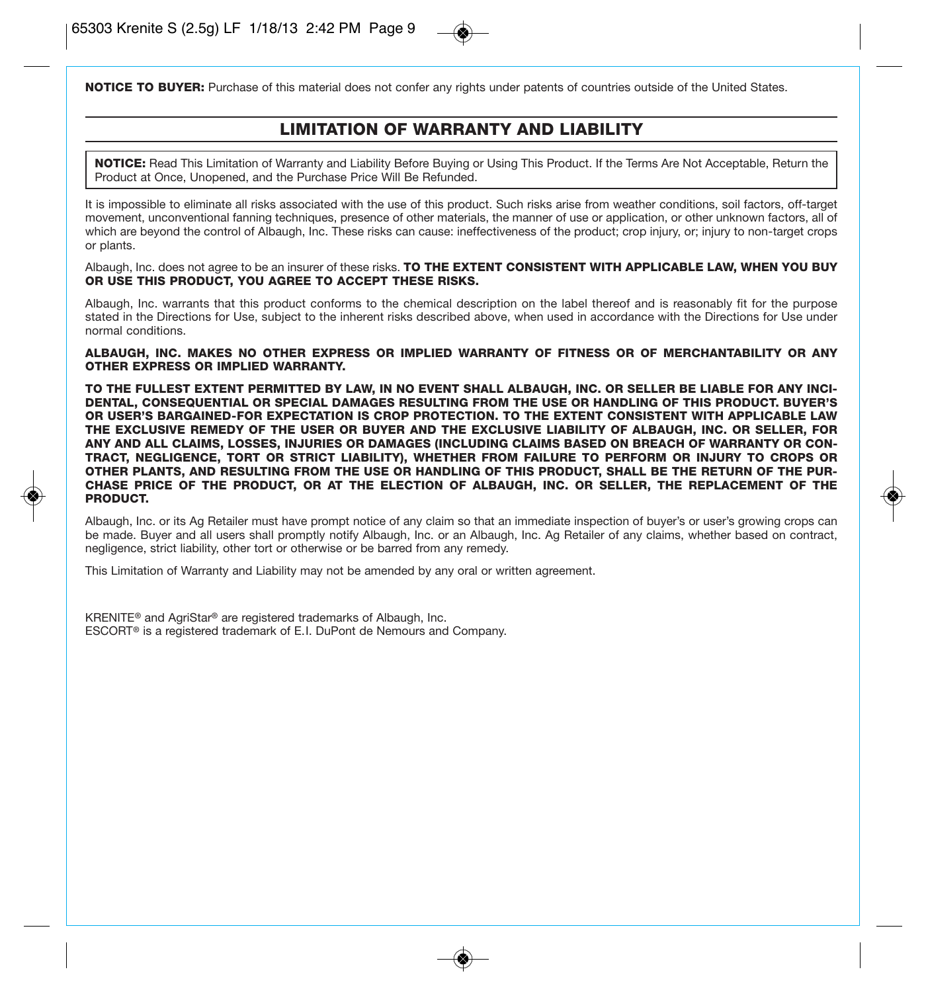**NOTICE TO BUYER:** Purchase of this material does not confer any rights under patents of countries outside of the United States.

# **LIMITATION OF WARRANTY AND LIABILITY**

**NOTICE:** Read This Limitation of Warranty and Liability Before Buying or Using This Product. If the Terms Are Not Acceptable, Return the Product at Once, Unopened, and the Purchase Price Will Be Refunded.

It is impossible to eliminate all risks associated with the use of this product. Such risks arise from weather conditions, soil factors, off-target movement, unconventional fanning techniques, presence of other materials, the manner of use or application, or other unknown factors, all of which are beyond the control of Albaugh, Inc. These risks can cause: ineffectiveness of the product; crop injury, or; injury to non-target crops or plants.

Albaugh, Inc. does not agree to be an insurer of these risks. **TO THE EXTENT CONSISTENT WITH APPLICABLE LAW, WHEN YOU BUY OR USE THIS PRODUCT, YOU AGREE TO ACCEPT THESE RISKS.**

Albaugh, Inc. warrants that this product conforms to the chemical description on the label thereof and is reasonably fit for the purpose stated in the Directions for Use, subject to the inherent risks described above, when used in accordance with the Directions for Use under normal conditions.

**ALBAUGH, INC. MAKES NO OTHER EXPRESS OR IMPLIED WARRANTY OF FITNESS OR OF MERCHANTABILITY OR ANY OTHER EXPRESS OR IMPLIED WARRANTY.**

**TO THE FULLEST EXTENT PERMITTED BY LAW, IN NO EVENT SHALL ALBAUGH, INC. OR SELLER BE LIABLE FOR ANY INCI-DENTAL, CONSEQUENTIAL OR SPECIAL DAMAGES RESULTING FROM THE USE OR HANDLING OF THIS PRODUCT. BUYER'S OR USER'S BARGAINED-FOR EXPECTATION IS CROP PROTECTION. TO THE EXTENT CONSISTENT WITH APPLICABLE LAW THE EXCLUSIVE REMEDY OF THE USER OR BUYER AND THE EXCLUSIVE LIABILITY OF ALBAUGH, INC. OR SELLER, FOR ANY AND ALL CLAIMS, LOSSES, INJURIES OR DAMAGES (INCLUDING CLAIMS BASED ON BREACH OF WARRANTY OR CON-TRACT, NEGLIGENCE, TORT OR STRICT LIABILITY), WHETHER FROM FAILURE TO PERFORM OR INJURY TO CROPS OR OTHER PLANTS, AND RESULTING FROM THE USE OR HANDLING OF THIS PRODUCT, SHALL BE THE RETURN OF THE PUR-CHASE PRICE OF THE PRODUCT, OR AT THE ELECTION OF ALBAUGH, INC. OR SELLER, THE REPLACEMENT OF THE PRODUCT.**

Albaugh, Inc. or its Ag Retailer must have prompt notice of any claim so that an immediate inspection of buyer's or user's growing crops can be made. Buyer and all users shall promptly notify Albaugh, Inc. or an Albaugh, Inc. Ag Retailer of any claims, whether based on contract, negligence, strict liability, other tort or otherwise or be barred from any remedy.

This Limitation of Warranty and Liability may not be amended by any oral or written agreement.

KRENITE**®** and AgriStar**®** are registered trademarks of Albaugh, Inc. ESCORT**®** is a registered trademark of E.I. DuPont de Nemours and Company.